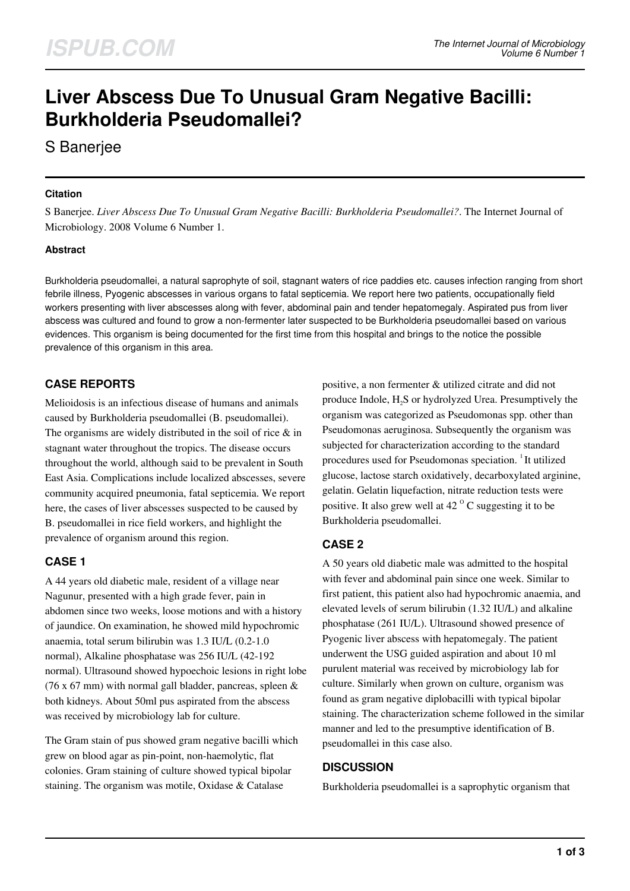# **Liver Abscess Due To Unusual Gram Negative Bacilli: Burkholderia Pseudomallei?**

S Banerjee

#### **Citation**

S Banerjee. *Liver Abscess Due To Unusual Gram Negative Bacilli: Burkholderia Pseudomallei?*. The Internet Journal of Microbiology. 2008 Volume 6 Number 1.

### **Abstract**

Burkholderia pseudomallei, a natural saprophyte of soil, stagnant waters of rice paddies etc. causes infection ranging from short febrile illness, Pyogenic abscesses in various organs to fatal septicemia. We report here two patients, occupationally field workers presenting with liver abscesses along with fever, abdominal pain and tender hepatomegaly. Aspirated pus from liver abscess was cultured and found to grow a non-fermenter later suspected to be Burkholderia pseudomallei based on various evidences. This organism is being documented for the first time from this hospital and brings to the notice the possible prevalence of this organism in this area.

# **CASE REPORTS**

Melioidosis is an infectious disease of humans and animals caused by Burkholderia pseudomallei (B. pseudomallei). The organisms are widely distributed in the soil of rice  $\&$  in stagnant water throughout the tropics. The disease occurs throughout the world, although said to be prevalent in South East Asia. Complications include localized abscesses, severe community acquired pneumonia, fatal septicemia. We report here, the cases of liver abscesses suspected to be caused by B. pseudomallei in rice field workers, and highlight the prevalence of organism around this region.

### **CASE 1**

A 44 years old diabetic male, resident of a village near Nagunur, presented with a high grade fever, pain in abdomen since two weeks, loose motions and with a history of jaundice. On examination, he showed mild hypochromic anaemia, total serum bilirubin was 1.3 IU/L (0.2-1.0 normal), Alkaline phosphatase was 256 IU/L (42-192 normal). Ultrasound showed hypoechoic lesions in right lobe (76 x 67 mm) with normal gall bladder, pancreas, spleen  $\&$ both kidneys. About 50ml pus aspirated from the abscess was received by microbiology lab for culture.

The Gram stain of pus showed gram negative bacilli which grew on blood agar as pin-point, non-haemolytic, flat colonies. Gram staining of culture showed typical bipolar staining. The organism was motile, Oxidase & Catalase

positive, a non fermenter & utilized citrate and did not produce Indole, H<sub>2</sub>S or hydrolyzed Urea. Presumptively the organism was categorized as Pseudomonas spp. other than Pseudomonas aeruginosa. Subsequently the organism was subjected for characterization according to the standard procedures used for Pseudomonas speciation. <sup>1</sup>It utilized glucose, lactose starch oxidatively, decarboxylated arginine, gelatin. Gelatin liquefaction, nitrate reduction tests were positive. It also grew well at  $42<sup>o</sup>$  C suggesting it to be Burkholderia pseudomallei.

# **CASE 2**

A 50 years old diabetic male was admitted to the hospital with fever and abdominal pain since one week. Similar to first patient, this patient also had hypochromic anaemia, and elevated levels of serum bilirubin (1.32 IU/L) and alkaline phosphatase (261 IU/L). Ultrasound showed presence of Pyogenic liver abscess with hepatomegaly. The patient underwent the USG guided aspiration and about 10 ml purulent material was received by microbiology lab for culture. Similarly when grown on culture, organism was found as gram negative diplobacilli with typical bipolar staining. The characterization scheme followed in the similar manner and led to the presumptive identification of B. pseudomallei in this case also.

### **DISCUSSION**

Burkholderia pseudomallei is a saprophytic organism that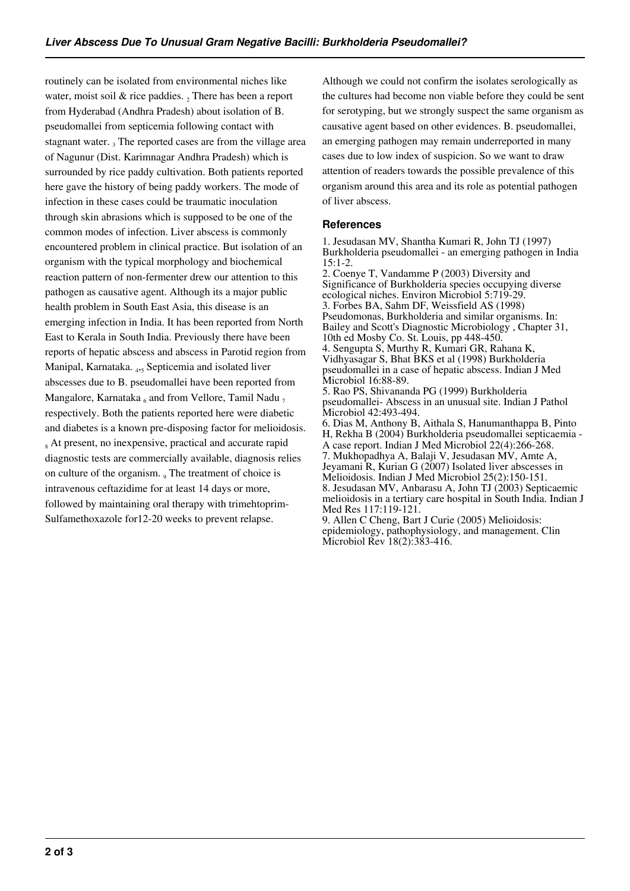routinely can be isolated from environmental niches like water, moist soil  $&$  rice paddies.  $<sub>2</sub>$  There has been a report</sub> from Hyderabad (Andhra Pradesh) about isolation of B. pseudomallei from septicemia following contact with stagnant water.  $_3$  The reported cases are from the village area of Nagunur (Dist. Karimnagar Andhra Pradesh) which is surrounded by rice paddy cultivation. Both patients reported here gave the history of being paddy workers. The mode of infection in these cases could be traumatic inoculation through skin abrasions which is supposed to be one of the common modes of infection. Liver abscess is commonly encountered problem in clinical practice. But isolation of an organism with the typical morphology and biochemical reaction pattern of non-fermenter drew our attention to this pathogen as causative agent. Although its a major public health problem in South East Asia, this disease is an emerging infection in India. It has been reported from North East to Kerala in South India. Previously there have been reports of hepatic abscess and abscess in Parotid region from Manipal, Karnataka. <sup>4</sup> ,5 Septicemia and isolated liver abscesses due to B. pseudomallei have been reported from Mangalore, Karnataka  $_6$  and from Vellore, Tamil Nadu  $_7$ respectively. Both the patients reported here were diabetic and diabetes is a known pre-disposing factor for melioidosis. <sub>8</sub> At present, no inexpensive, practical and accurate rapid diagnostic tests are commercially available, diagnosis relies on culture of the organism.  $\frac{1}{9}$  The treatment of choice is intravenous ceftazidime for at least 14 days or more, followed by maintaining oral therapy with trimehtoprim-Sulfamethoxazole for12-20 weeks to prevent relapse.

Although we could not confirm the isolates serologically as the cultures had become non viable before they could be sent for serotyping, but we strongly suspect the same organism as causative agent based on other evidences. B. pseudomallei, an emerging pathogen may remain underreported in many cases due to low index of suspicion. So we want to draw attention of readers towards the possible prevalence of this organism around this area and its role as potential pathogen of liver abscess.

#### **References**

1. Jesudasan MV, Shantha Kumari R, John TJ (1997) Burkholderia pseudomallei - an emerging pathogen in India 15:1-2. 2. Coenye T, Vandamme P (2003) Diversity and Significance of Burkholderia species occupying diverse ecological niches. Environ Microbiol 5:719-29. 3. Forbes BA, Sahm DF, Weissfield AS (1998) Pseudomonas, Burkholderia and similar organisms. In: Bailey and Scott's Diagnostic Microbiology , Chapter 31, 10th ed Mosby Co. St. Louis, pp 448-450. 4. Sengupta S, Murthy R, Kumari GR, Rahana K, Vidhyasagar S, Bhat BKS et al (1998) Burkholderia pseudomallei in a case of hepatic abscess. Indian J Med Microbiol 16:88-89. 5. Rao PS, Shivananda PG (1999) Burkholderia pseudomallei- Abscess in an unusual site. Indian J Pathol Microbiol 42:493-494. 6. Dias M, Anthony B, Aithala S, Hanumanthappa B, Pinto H, Rekha B (2004) Burkholderia pseudomallei septicaemia - A case report. Indian J Med Microbiol 22(4):266-268. 7. Mukhopadhya A, Balaji V, Jesudasan MV, Amte A, Jeyamani R, Kurian G (2007) Isolated liver abscesses in Melioidosis. Indian J Med Microbiol 25(2):150-151. 8. Jesudasan MV, Anbarasu A, John TJ (2003) Septicaemic melioidosis in a tertiary care hospital in South India. Indian J Med Res 117:119-121. 9. Allen C Cheng, Bart J Curie (2005) Melioidosis: epidemiology, pathophysiology, and management. Clin Microbiol Rev 18(2):383-416.